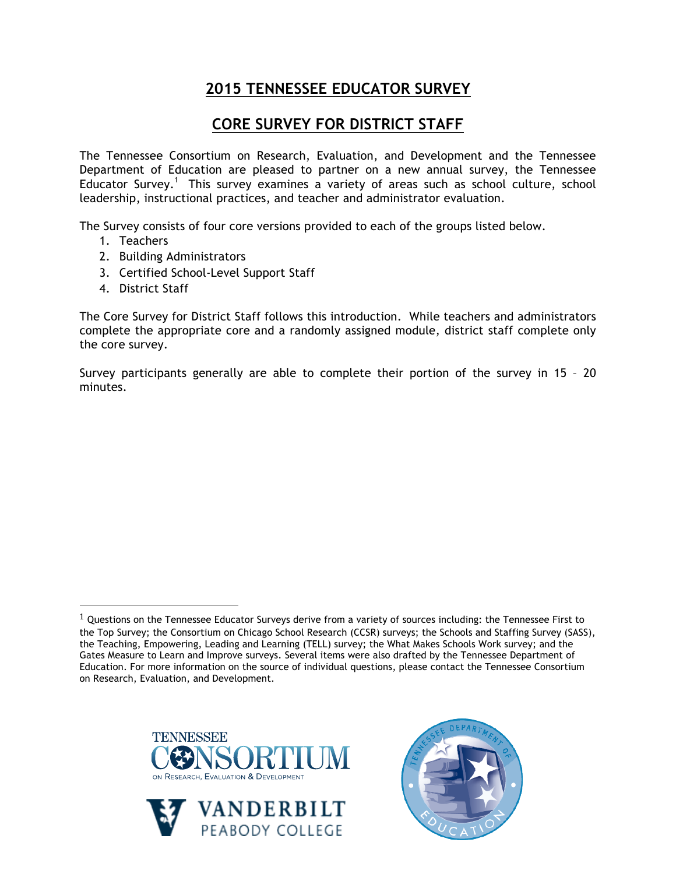## **2015 TENNESSEE EDUCATOR SURVEY**

## **CORE SURVEY FOR DISTRICT STAFF**

The Tennessee Consortium on Research, Evaluation, and Development and the Tennessee Department of Education are pleased to partner on a new annual survey, the Tennessee Educator Survey.<sup>1</sup> This survey examines a variety of areas such as school culture, school leadership, instructional practices, and teacher and administrator evaluation.

The Survey consists of four core versions provided to each of the groups listed below.

- 1. Teachers
- 2. Building Administrators
- 3. Certified School-Level Support Staff
- 4. District Staff

!!!!!!!!!!!!!!!!!!!!!!!!!!!!!!!!!!!!!!!!!!!!!!!!!!!!!!!

The Core Survey for District Staff follows this introduction. While teachers and administrators complete the appropriate core and a randomly assigned module, district staff complete only the core survey.

Survey participants generally are able to complete their portion of the survey in 15 – 20 minutes.

 $1$  Questions on the Tennessee Educator Surveys derive from a variety of sources including: the Tennessee First to the Top Survey; the Consortium on Chicago School Research (CCSR) surveys; the Schools and Staffing Survey (SASS), the Teaching, Empowering, Leading and Learning (TELL) survey; the What Makes Schools Work survey; and the Gates Measure to Learn and Improve surveys. Several items were also drafted by the Tennessee Department of Education. For more information on the source of individual questions, please contact the Tennessee Consortium on Research, Evaluation, and Development.





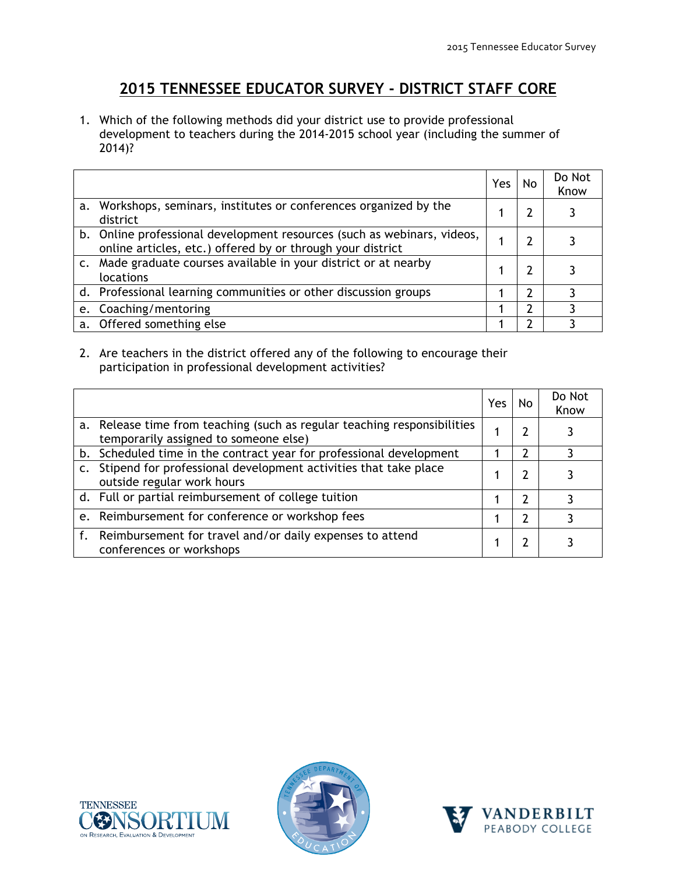## **2015 TENNESSEE EDUCATOR SURVEY - DISTRICT STAFF CORE**

1. Which of the following methods did your district use to provide professional development to teachers during the 2014-2015 school year (including the summer of 2014)?

|                                                                                                                                       | Yes | No | Do Not<br>Know |
|---------------------------------------------------------------------------------------------------------------------------------------|-----|----|----------------|
| a. Workshops, seminars, institutes or conferences organized by the<br>district                                                        |     |    |                |
| b. Online professional development resources (such as webinars, videos,<br>online articles, etc.) offered by or through your district |     |    |                |
| Made graduate courses available in your district or at nearby<br>locations                                                            |     |    |                |
| d. Professional learning communities or other discussion groups                                                                       |     |    | ٦              |
| e. Coaching/mentoring                                                                                                                 |     |    |                |
| a. Offered something else                                                                                                             |     |    |                |

2. Are teachers in the district offered any of the following to encourage their participation in professional development activities?

|                |                                                                                                                   | Yes | No            | Do Not<br>Know |
|----------------|-------------------------------------------------------------------------------------------------------------------|-----|---------------|----------------|
|                | a. Release time from teaching (such as regular teaching responsibilities<br>temporarily assigned to someone else) |     |               |                |
|                | b. Scheduled time in the contract year for professional development                                               |     | $\mathcal{P}$ |                |
| $\mathsf{C}$ . | Stipend for professional development activities that take place<br>outside regular work hours                     |     |               |                |
|                | d. Full or partial reimbursement of college tuition                                                               |     | 2             |                |
|                | e. Reimbursement for conference or workshop fees                                                                  |     | 2             |                |
|                | f. Reimbursement for travel and/or daily expenses to attend<br>conferences or workshops                           |     |               |                |





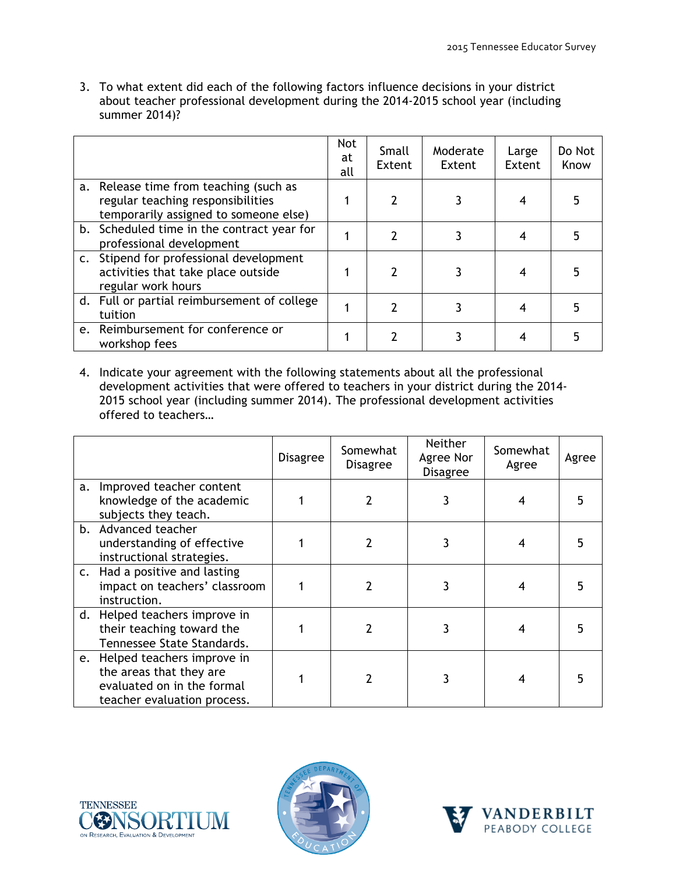3. To what extent did each of the following factors influence decisions in your district about teacher professional development during the 2014-2015 school year (including summer 2014)?

|                                                                                                                      | <b>Not</b><br>at<br>all | Small<br>Extent | Moderate<br>Extent | Large<br>Extent | Do Not<br>Know |
|----------------------------------------------------------------------------------------------------------------------|-------------------------|-----------------|--------------------|-----------------|----------------|
| a. Release time from teaching (such as<br>regular teaching responsibilities<br>temporarily assigned to someone else) |                         | 2               |                    |                 |                |
| b. Scheduled time in the contract year for<br>professional development                                               |                         | 7               | 3                  |                 |                |
| c. Stipend for professional development<br>activities that take place outside<br>regular work hours                  |                         | 2               |                    |                 |                |
| d. Full or partial reimbursement of college<br>tuition                                                               |                         |                 |                    |                 | 5              |
| e. Reimbursement for conference or<br>workshop fees                                                                  |                         |                 |                    |                 |                |

4. Indicate your agreement with the following statements about all the professional development activities that were offered to teachers in your district during the 2014- 2015 school year (including summer 2014). The professional development activities offered to teachers…

|    |                                                                                                                       | <b>Disagree</b> | Somewhat<br><b>Disagree</b> | <b>Neither</b><br>Agree Nor<br><b>Disagree</b> | Somewhat<br>Agree | Agree |
|----|-----------------------------------------------------------------------------------------------------------------------|-----------------|-----------------------------|------------------------------------------------|-------------------|-------|
| a. | Improved teacher content<br>knowledge of the academic<br>subjects they teach.                                         |                 |                             |                                                |                   |       |
|    | b. Advanced teacher<br>understanding of effective<br>instructional strategies.                                        |                 |                             |                                                |                   |       |
|    | c. Had a positive and lasting<br>impact on teachers' classroom<br>instruction.                                        |                 |                             |                                                |                   |       |
|    | d. Helped teachers improve in<br>their teaching toward the<br>Tennessee State Standards.                              |                 | 2                           |                                                | 4                 |       |
|    | e. Helped teachers improve in<br>the areas that they are<br>evaluated on in the formal<br>teacher evaluation process. |                 |                             |                                                | 4                 |       |





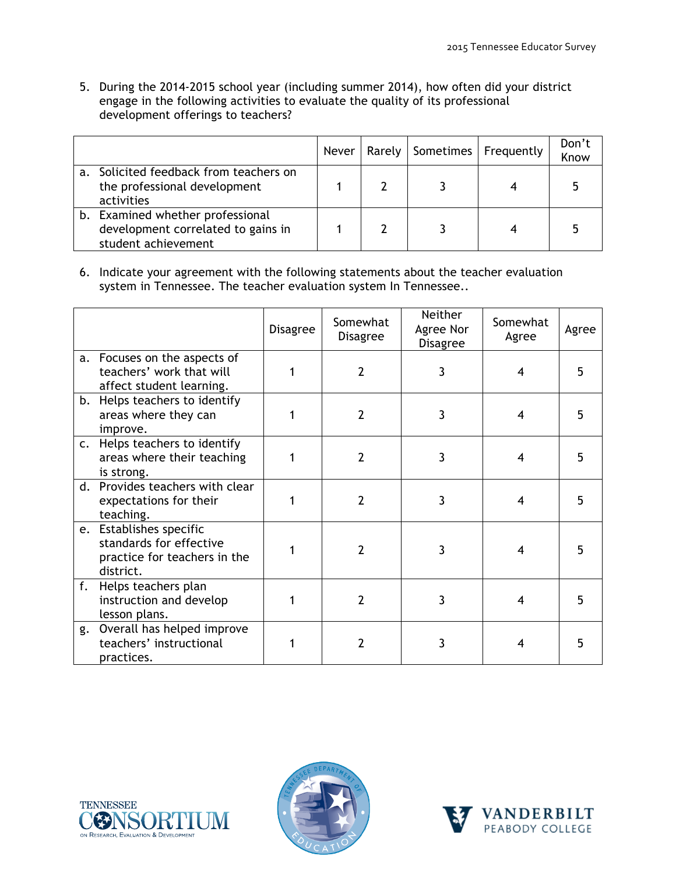5. During the 2014-2015 school year (including summer 2014), how often did your district engage in the following activities to evaluate the quality of its professional development offerings to teachers?

|                                                                                               | <b>Never</b> | Rarely   Sometimes   Frequently | Don't<br>Know |
|-----------------------------------------------------------------------------------------------|--------------|---------------------------------|---------------|
| Solicited feedback from teachers on<br>the professional development<br>activities             |              |                                 |               |
| b. Examined whether professional<br>development correlated to gains in<br>student achievement |              |                                 |               |

6. Indicate your agreement with the following statements about the teacher evaluation system in Tennessee. The teacher evaluation system In Tennessee..

|                |                                                                                                 | <b>Disagree</b> | Somewhat<br><b>Disagree</b> | Neither<br>Agree Nor<br><b>Disagree</b> | Somewhat<br>Agree | Agree |
|----------------|-------------------------------------------------------------------------------------------------|-----------------|-----------------------------|-----------------------------------------|-------------------|-------|
| a.             | Focuses on the aspects of<br>teachers' work that will<br>affect student learning.               | 1               | $\overline{2}$              | 3                                       | 4                 | 5     |
|                | b. Helps teachers to identify<br>areas where they can<br>improve.                               | 1               | $\overline{2}$              | 3                                       | 4                 | 5     |
| $\mathsf{C}$ . | Helps teachers to identify<br>areas where their teaching<br>is strong.                          | 1               | $\overline{2}$              | 3                                       | 4                 | 5     |
|                | d. Provides teachers with clear<br>expectations for their<br>teaching.                          | 1               | $\overline{2}$              | 3                                       | 4                 | 5     |
|                | e. Establishes specific<br>standards for effective<br>practice for teachers in the<br>district. |                 | $\overline{2}$              | 3                                       | 4                 | 5     |
| f.             | Helps teachers plan<br>instruction and develop<br>lesson plans.                                 |                 | $\overline{2}$              | 3                                       | 4                 | 5     |
| g.             | Overall has helped improve<br>teachers' instructional<br>practices.                             | 1               | 2                           | 3                                       | 4                 | 5     |





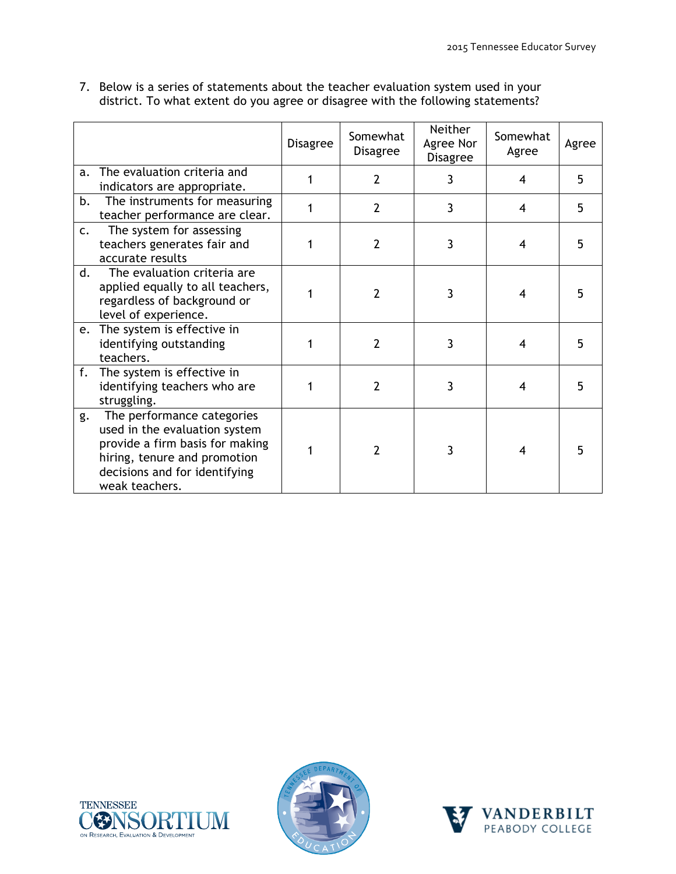7. Below is a series of statements about the teacher evaluation system used in your district. To what extent do you agree or disagree with the following statements?

|                |                                                                                                                                                                                   | <b>Disagree</b> | Somewhat<br><b>Disagree</b> | <b>Neither</b><br>Agree Nor<br><b>Disagree</b> | Somewhat<br>Agree        | Agree |
|----------------|-----------------------------------------------------------------------------------------------------------------------------------------------------------------------------------|-----------------|-----------------------------|------------------------------------------------|--------------------------|-------|
| a.             | The evaluation criteria and<br>indicators are appropriate.                                                                                                                        | 1               | $\overline{2}$              | 3                                              | 4                        | 5     |
| b.             | The instruments for measuring<br>teacher performance are clear.                                                                                                                   |                 | 2                           | 3                                              | 4                        | 5     |
| $\mathsf{C}$ . | The system for assessing<br>teachers generates fair and<br>accurate results                                                                                                       | 1               | $\overline{2}$              | 3                                              | $\overline{\mathcal{A}}$ | 5     |
| d.             | The evaluation criteria are<br>applied equally to all teachers,<br>regardless of background or<br>level of experience.                                                            | 1               | $\mathcal{P}$               | 3                                              | 4                        | 5     |
|                | e. The system is effective in<br>identifying outstanding<br>teachers.                                                                                                             | 1               | $\overline{2}$              | 3                                              | 4                        | 5     |
| f.             | The system is effective in<br>identifying teachers who are<br>struggling.                                                                                                         |                 | $\overline{2}$              | 3                                              | 4                        | 5     |
| g.             | The performance categories<br>used in the evaluation system<br>provide a firm basis for making<br>hiring, tenure and promotion<br>decisions and for identifying<br>weak teachers. | 1               | $\overline{2}$              | 3                                              | 4                        |       |





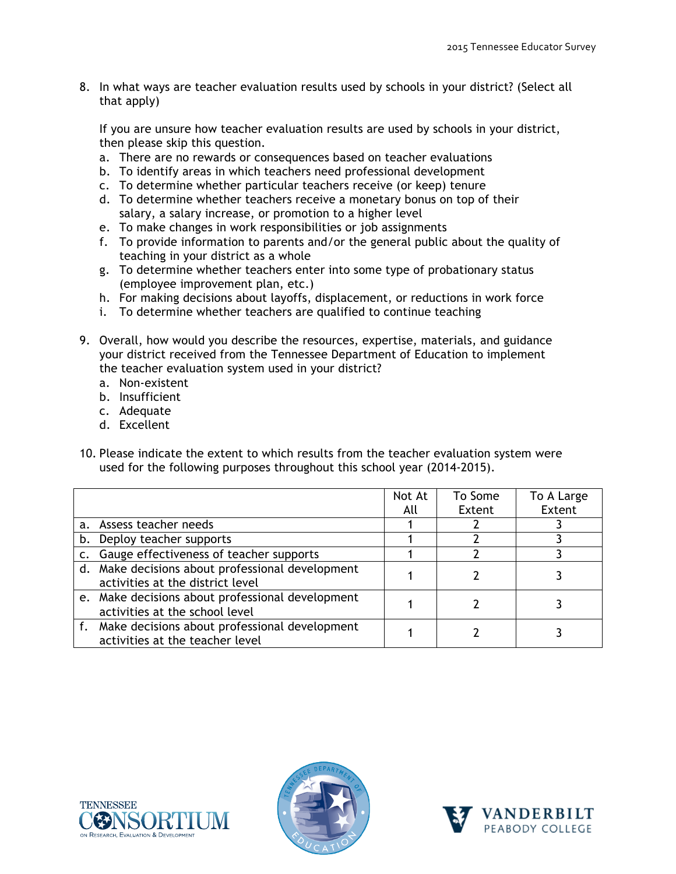8. In what ways are teacher evaluation results used by schools in your district? (Select all that apply)

If you are unsure how teacher evaluation results are used by schools in your district, then please skip this question.

- a. There are no rewards or consequences based on teacher evaluations
- b. To identify areas in which teachers need professional development
- c. To determine whether particular teachers receive (or keep) tenure
- d. To determine whether teachers receive a monetary bonus on top of their salary, a salary increase, or promotion to a higher level
- e. To make changes in work responsibilities or job assignments
- f. To provide information to parents and/or the general public about the quality of teaching in your district as a whole
- g. To determine whether teachers enter into some type of probationary status (employee improvement plan, etc.)
- h. For making decisions about layoffs, displacement, or reductions in work force
- i. To determine whether teachers are qualified to continue teaching
- 9. Overall, how would you describe the resources, expertise, materials, and guidance your district received from the Tennessee Department of Education to implement the teacher evaluation system used in your district?
	- a. Non-existent
	- b. Insufficient
	- c. Adequate
	- d. Excellent
- 10. Please indicate the extent to which results from the teacher evaluation system were used for the following purposes throughout this school year (2014-2015).

|    |                                                  | Not At | To Some | To A Large |
|----|--------------------------------------------------|--------|---------|------------|
|    |                                                  | All    | Extent  | Extent     |
|    | a. Assess teacher needs                          |        |         |            |
|    | b. Deploy teacher supports                       |        |         |            |
| C. | Gauge effectiveness of teacher supports          |        |         |            |
|    | d. Make decisions about professional development |        |         |            |
|    | activities at the district level                 |        |         |            |
|    | e. Make decisions about professional development |        |         |            |
|    | activities at the school level                   |        |         |            |
|    | f. Make decisions about professional development |        |         |            |
|    | activities at the teacher level                  |        |         |            |





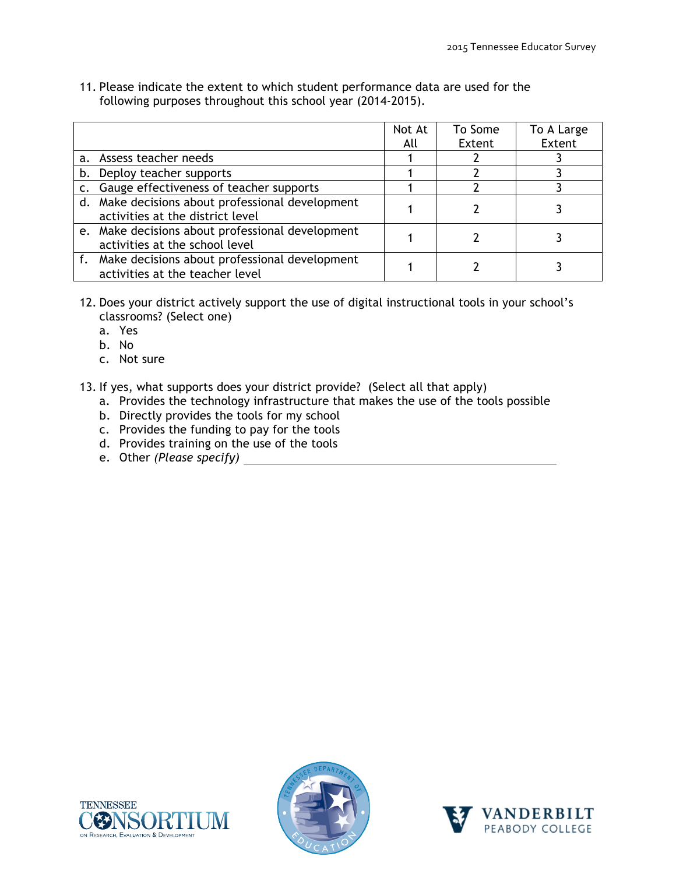11. Please indicate the extent to which student performance data are used for the following purposes throughout this school year (2014-2015).

|    |                                                                                      | Not At<br>All | To Some<br>Extent | To A Large<br>Extent |
|----|--------------------------------------------------------------------------------------|---------------|-------------------|----------------------|
|    | a. Assess teacher needs                                                              |               |                   |                      |
| b. | Deploy teacher supports                                                              |               |                   |                      |
|    | c. Gauge effectiveness of teacher supports                                           |               |                   |                      |
|    | d. Make decisions about professional development<br>activities at the district level |               |                   |                      |
|    | e. Make decisions about professional development<br>activities at the school level   |               |                   |                      |
|    | f. Make decisions about professional development<br>activities at the teacher level  |               |                   |                      |

- 12. Does your district actively support the use of digital instructional tools in your school's classrooms? (Select one)
	- a. Yes
	- b. No
	- c. Not sure
- 13. If yes, what supports does your district provide? (Select all that apply)
	- a. Provides the technology infrastructure that makes the use of the tools possible
	- b. Directly provides the tools for my school
	- c. Provides the funding to pay for the tools
	- d. Provides training on the use of the tools
	- e. Other *(Please specify)*





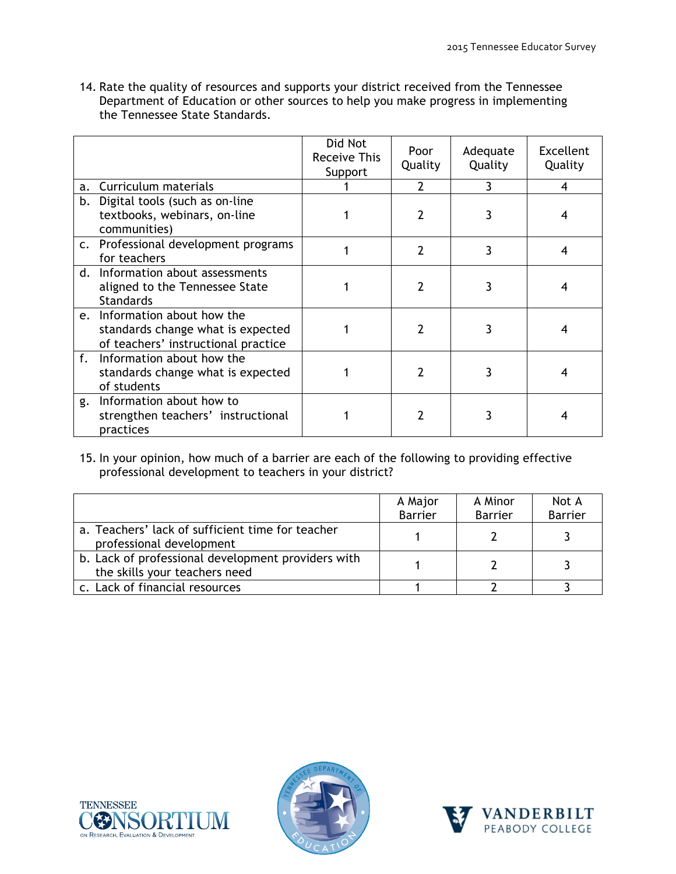14. Rate the quality of resources and supports your district received from the Tennessee Department of Education or other sources to help you make progress in implementing the Tennessee State Standards.

|    |                                                                                                          | Did Not<br>Receive This<br>Support | Poor<br>Quality | Adequate<br>Quality | <b>Excellent</b><br>Quality |
|----|----------------------------------------------------------------------------------------------------------|------------------------------------|-----------------|---------------------|-----------------------------|
| a. | Curriculum materials                                                                                     |                                    | 2               | 3                   | 4                           |
| b. | Digital tools (such as on-line<br>textbooks, webinars, on-line<br>communities)                           |                                    | 2               | 3                   | 4                           |
|    | c. Professional development programs<br>for teachers                                                     |                                    | 2               | 3                   |                             |
|    | d. Information about assessments<br>aligned to the Tennessee State<br><b>Standards</b>                   |                                    |                 | 3                   |                             |
|    | e. Information about how the<br>standards change what is expected<br>of teachers' instructional practice |                                    | 2               | 3                   |                             |
| f. | Information about how the<br>standards change what is expected<br>of students                            |                                    |                 |                     |                             |
| g. | Information about how to<br>strengthen teachers' instructional<br>practices                              |                                    |                 |                     |                             |

15. In your opinion, how much of a barrier are each of the following to providing effective professional development to teachers in your district?

|                                                                                     | A Major        | A Minor        | Not A<br><b>Barrier</b> |
|-------------------------------------------------------------------------------------|----------------|----------------|-------------------------|
|                                                                                     | <b>Barrier</b> | <b>Barrier</b> |                         |
| a. Teachers' lack of sufficient time for teacher<br>professional development        |                |                |                         |
| b. Lack of professional development providers with<br>the skills your teachers need |                |                |                         |
| c. Lack of financial resources                                                      |                |                |                         |